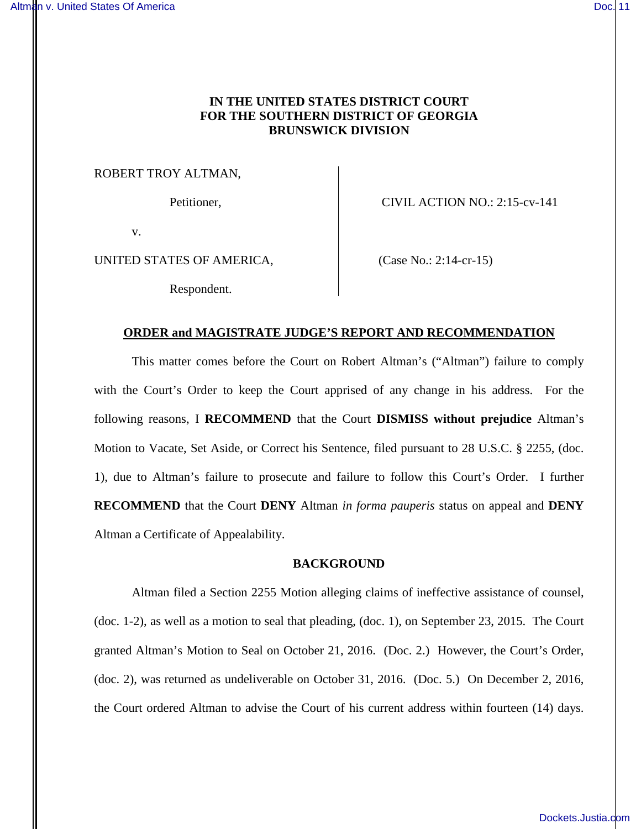# **IN THE UNITED STATES DISTRICT COURT FOR THE SOUTHERN DISTRICT OF GEORGIA BRUNSWICK DIVISION**

ROBERT TROY ALTMAN,

Petitioner, CIVIL ACTION NO.: 2:15-cv-141

v.

UNITED STATES OF AMERICA, (Case No.: 2:14-cr-15)

Respondent.

# **ORDER and MAGISTRATE JUDGE'S REPORT AND RECOMMENDATION**

This matter comes before the Court on Robert Altman's ("Altman") failure to comply with the Court's Order to keep the Court apprised of any change in his address. For the following reasons, I **RECOMMEND** that the Court **DISMISS without prejudice** Altman's Motion to Vacate, Set Aside, or Correct his Sentence, filed pursuant to 28 U.S.C. § 2255, (doc. 1), due to Altman's failure to prosecute and failure to follow this Court's Order. I further **RECOMMEND** that the Court **DENY** Altman *in forma pauperis* status on appeal and **DENY**  Altman a Certificate of Appealability.

# **BACKGROUND**

Altman filed a Section 2255 Motion alleging claims of ineffective assistance of counsel, (doc. 1-2), as well as a motion to seal that pleading, (doc. 1), on September 23, 2015. The Court granted Altman's Motion to Seal on October 21, 2016. (Doc. 2.) However, the Court's Order, (doc. 2), was returned as undeliverable on October 31, 2016. (Doc. 5.) On December 2, 2016, the Court ordered Altman to advise the Court of his current address within fourteen (14) days.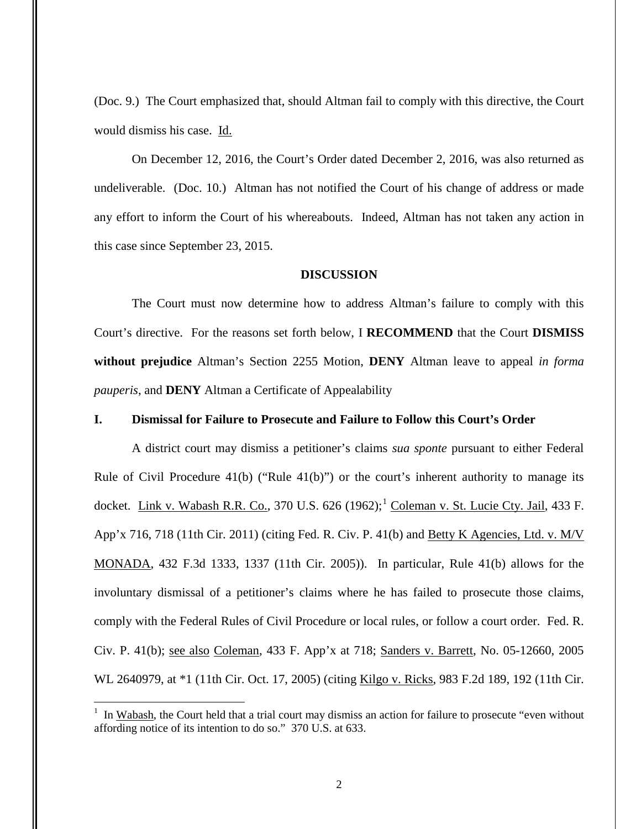(Doc. 9.) The Court emphasized that, should Altman fail to comply with this directive, the Court would dismiss his case. Id.

On December 12, 2016, the Court's Order dated December 2, 2016, was also returned as undeliverable. (Doc. 10.) Altman has not notified the Court of his change of address or made any effort to inform the Court of his whereabouts. Indeed, Altman has not taken any action in this case since September 23, 2015.

#### **DISCUSSION**

The Court must now determine how to address Altman's failure to comply with this Court's directive. For the reasons set forth below, I **RECOMMEND** that the Court **DISMISS without prejudice** Altman's Section 2255 Motion, **DENY** Altman leave to appeal *in forma pauperis*, and **DENY** Altman a Certificate of Appealability

# **I. Dismissal for Failure to Prosecute and Failure to Follow this Court's Order**

A district court may dismiss a petitioner's claims *sua sponte* pursuant to either Federal Rule of Civil Procedure  $(41(b))$  ("Rule  $(41(b))$ ") or the court's inherent authority to manage its docket. Link v. Wabash R.R. Co., 370 U.S.  $626$  (1962);<sup>1</sup> Coleman v. St. Lucie Cty. Jail, 433 F. App'x 716, 718 (11th Cir. 2011) (citing Fed. R. Civ. P. 41(b) and Betty K Agencies, Ltd. v. M/V MONADA, 432 F.3d 1333, 1337 (11th Cir. 2005)). In particular, Rule 41(b) allows for the involuntary dismissal of a petitioner's claims where he has failed to prosecute those claims, comply with the Federal Rules of Civil Procedure or local rules, or follow a court order. Fed. R. Civ. P. 41(b); see also Coleman, 433 F. App'x at 718; Sanders v. Barrett, No. 05-12660, 2005 WL 2640979, at \*1 (11th Cir. Oct. 17, 2005) (citing Kilgo v. Ricks, 983 F.2d 189, 192 (11th Cir.

 $\overline{a}$ 

<sup>1</sup> In Wabash, the Court held that a trial court may dismiss an action for failure to prosecute "even without affording notice of its intention to do so." 370 U.S. at 633.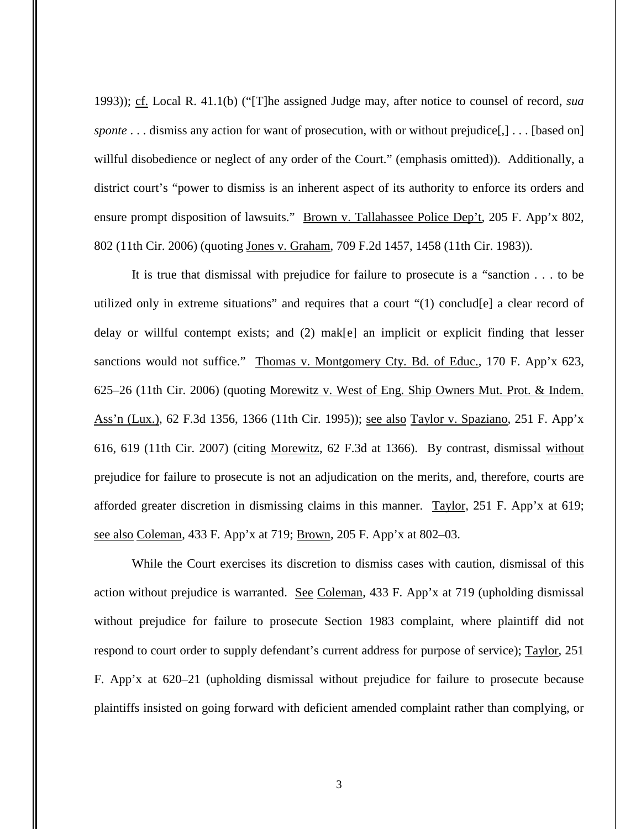1993)); cf. Local R. 41.1(b) ("[T]he assigned Judge may, after notice to counsel of record, *sua sponte* . . . dismiss any action for want of prosecution, with or without prejudice[,] . . . [based on] willful disobedience or neglect of any order of the Court." (emphasis omitted)). Additionally, a district court's "power to dismiss is an inherent aspect of its authority to enforce its orders and ensure prompt disposition of lawsuits." Brown v. Tallahassee Police Dep't, 205 F. App'x 802, 802 (11th Cir. 2006) (quoting Jones v. Graham, 709 F.2d 1457, 1458 (11th Cir. 1983)).

It is true that dismissal with prejudice for failure to prosecute is a "sanction . . . to be utilized only in extreme situations" and requires that a court " $(1)$  conclud[e] a clear record of delay or willful contempt exists; and (2) mak[e] an implicit or explicit finding that lesser sanctions would not suffice." Thomas v. Montgomery Cty. Bd. of Educ., 170 F. App'x 623, 625–26 (11th Cir. 2006) (quoting Morewitz v. West of Eng. Ship Owners Mut. Prot. & Indem. Ass'n (Lux.), 62 F.3d 1356, 1366 (11th Cir. 1995)); see also Taylor v. Spaziano, 251 F. App'x 616, 619 (11th Cir. 2007) (citing Morewitz, 62 F.3d at 1366). By contrast, dismissal without prejudice for failure to prosecute is not an adjudication on the merits, and, therefore, courts are afforded greater discretion in dismissing claims in this manner. Taylor, 251 F. App'x at 619; see also Coleman, 433 F. App'x at 719; Brown, 205 F. App'x at 802–03.

While the Court exercises its discretion to dismiss cases with caution, dismissal of this action without prejudice is warranted. See Coleman, 433 F. App'x at 719 (upholding dismissal without prejudice for failure to prosecute Section 1983 complaint, where plaintiff did not respond to court order to supply defendant's current address for purpose of service); Taylor, 251 F. App'x at 620–21 (upholding dismissal without prejudice for failure to prosecute because plaintiffs insisted on going forward with deficient amended complaint rather than complying, or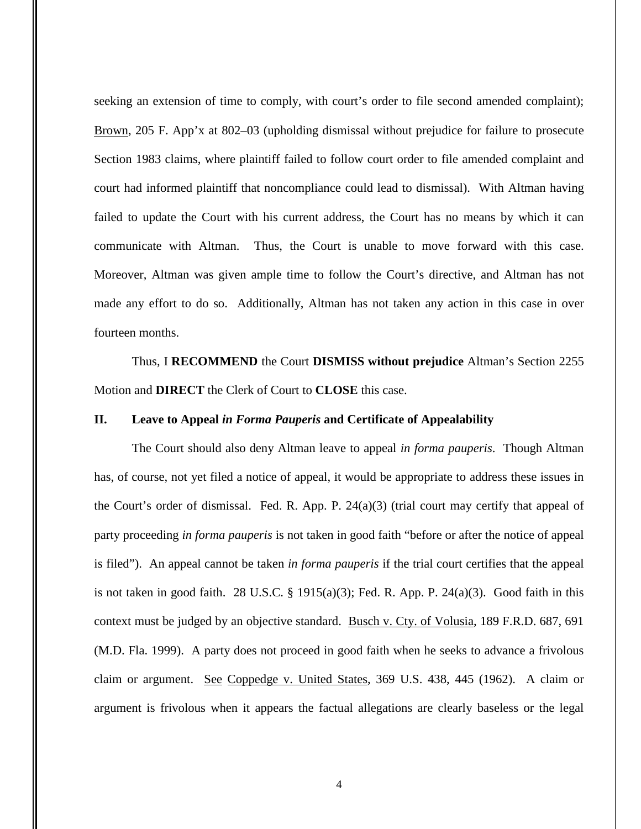seeking an extension of time to comply, with court's order to file second amended complaint); Brown, 205 F. App'x at 802–03 (upholding dismissal without prejudice for failure to prosecute Section 1983 claims, where plaintiff failed to follow court order to file amended complaint and court had informed plaintiff that noncompliance could lead to dismissal). With Altman having failed to update the Court with his current address, the Court has no means by which it can communicate with Altman. Thus, the Court is unable to move forward with this case. Moreover, Altman was given ample time to follow the Court's directive, and Altman has not made any effort to do so. Additionally, Altman has not taken any action in this case in over fourteen months.

Thus, I **RECOMMEND** the Court **DISMISS without prejudice** Altman's Section 2255 Motion and **DIRECT** the Clerk of Court to **CLOSE** this case.

# **II. Leave to Appeal** *in Forma Pauperis* **and Certificate of Appealability**

The Court should also deny Altman leave to appeal *in forma pauperis*. Though Altman has, of course, not yet filed a notice of appeal, it would be appropriate to address these issues in the Court's order of dismissal. Fed. R. App. P. 24(a)(3) (trial court may certify that appeal of party proceeding *in forma pauperis* is not taken in good faith "before or after the notice of appeal is filed"). An appeal cannot be taken *in forma pauperis* if the trial court certifies that the appeal is not taken in good faith. 28 U.S.C. § 1915(a)(3); Fed. R. App. P. 24(a)(3). Good faith in this context must be judged by an objective standard. Busch v. Cty. of Volusia, 189 F.R.D. 687, 691 (M.D. Fla. 1999). A party does not proceed in good faith when he seeks to advance a frivolous claim or argument. See Coppedge v. United States, 369 U.S. 438, 445 (1962). A claim or argument is frivolous when it appears the factual allegations are clearly baseless or the legal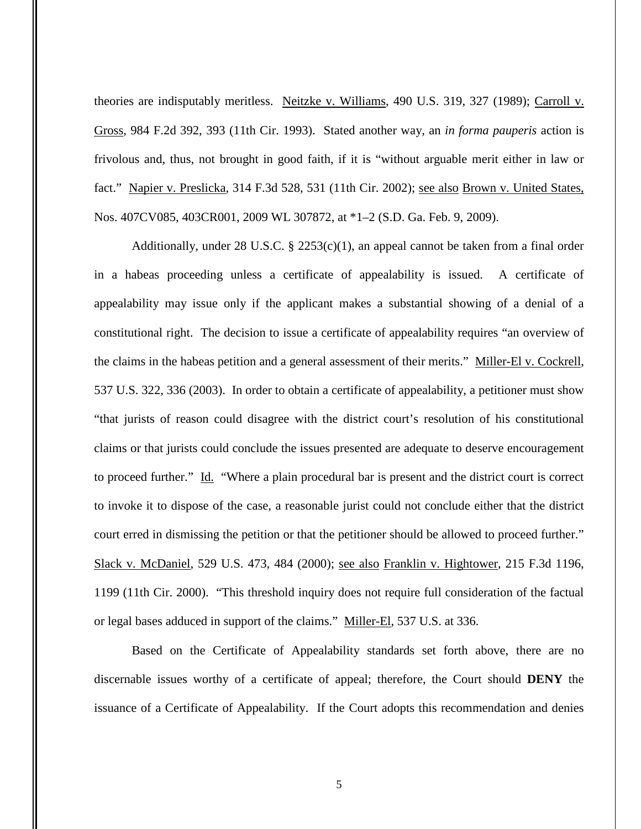theories are indisputably meritless. Neitzke v. Williams, 490 U.S. 319, 327 (1989); Carroll v. Gross, 984 F.2d 392, 393 (11th Cir. 1993). Stated another way, an *in forma pauperis* action is frivolous and, thus, not brought in good faith, if it is "without arguable merit either in law or fact." Napier v. Preslicka, 314 F.3d 528, 531 (11th Cir. 2002); see also Brown v. United States, Nos. 407CV085, 403CR001, 2009 WL 307872, at \*1–2 (S.D. Ga. Feb. 9, 2009).

Additionally, under 28 U.S.C. § 2253(c)(1), an appeal cannot be taken from a final order in a habeas proceeding unless a certificate of appealability is issued. A certificate of appealability may issue only if the applicant makes a substantial showing of a denial of a constitutional right. The decision to issue a certificate of appealability requires "an overview of the claims in the habeas petition and a general assessment of their merits." Miller-El v. Cockrell, 537 U.S. 322, 336 (2003). In order to obtain a certificate of appealability, a petitioner must show "that jurists of reason could disagree with the district court's resolution of his constitutional claims or that jurists could conclude the issues presented are adequate to deserve encouragement to proceed further." Id. "Where a plain procedural bar is present and the district court is correct to invoke it to dispose of the case, a reasonable jurist could not conclude either that the district court erred in dismissing the petition or that the petitioner should be allowed to proceed further." Slack v. McDaniel, 529 U.S. 473, 484 (2000); see also Franklin v. Hightower, 215 F.3d 1196, 1199 (11th Cir. 2000). "This threshold inquiry does not require full consideration of the factual or legal bases adduced in support of the claims." Miller-El, 537 U.S. at 336.

Based on the Certificate of Appealability standards set forth above, there are no discernable issues worthy of a certificate of appeal; therefore, the Court should **DENY** the issuance of a Certificate of Appealability. If the Court adopts this recommendation and denies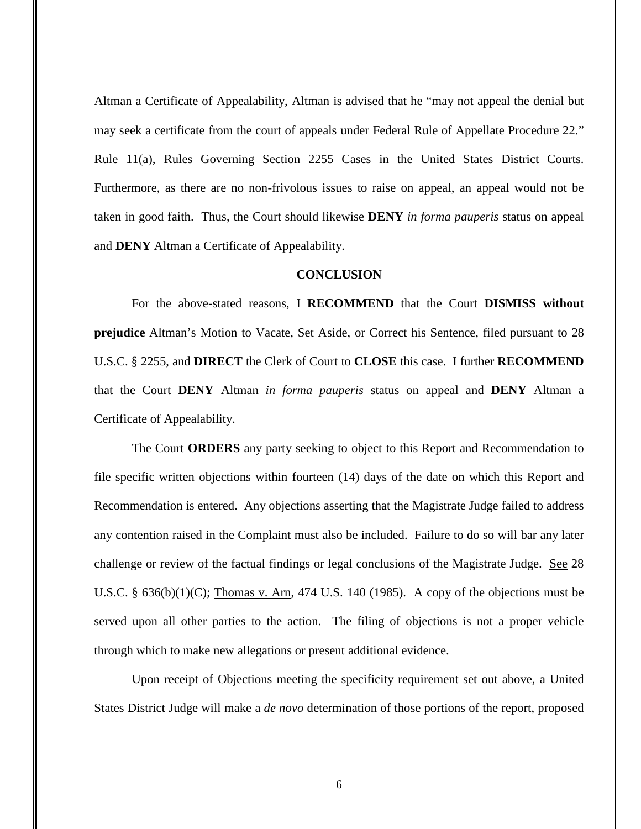Altman a Certificate of Appealability, Altman is advised that he "may not appeal the denial but may seek a certificate from the court of appeals under Federal Rule of Appellate Procedure 22." Rule 11(a), Rules Governing Section 2255 Cases in the United States District Courts. Furthermore, as there are no non-frivolous issues to raise on appeal, an appeal would not be taken in good faith. Thus, the Court should likewise **DENY** *in forma pauperis* status on appeal and **DENY** Altman a Certificate of Appealability.

#### **CONCLUSION**

For the above-stated reasons, I **RECOMMEND** that the Court **DISMISS without prejudice** Altman's Motion to Vacate, Set Aside, or Correct his Sentence, filed pursuant to 28 U.S.C. § 2255, and **DIRECT** the Clerk of Court to **CLOSE** this case. I further **RECOMMEND**  that the Court **DENY** Altman *in forma pauperis* status on appeal and **DENY** Altman a Certificate of Appealability.

The Court **ORDERS** any party seeking to object to this Report and Recommendation to file specific written objections within fourteen (14) days of the date on which this Report and Recommendation is entered. Any objections asserting that the Magistrate Judge failed to address any contention raised in the Complaint must also be included. Failure to do so will bar any later challenge or review of the factual findings or legal conclusions of the Magistrate Judge. See 28 U.S.C.  $\S$  636(b)(1)(C); Thomas v. Arn, 474 U.S. 140 (1985). A copy of the objections must be served upon all other parties to the action. The filing of objections is not a proper vehicle through which to make new allegations or present additional evidence.

Upon receipt of Objections meeting the specificity requirement set out above, a United States District Judge will make a *de novo* determination of those portions of the report, proposed